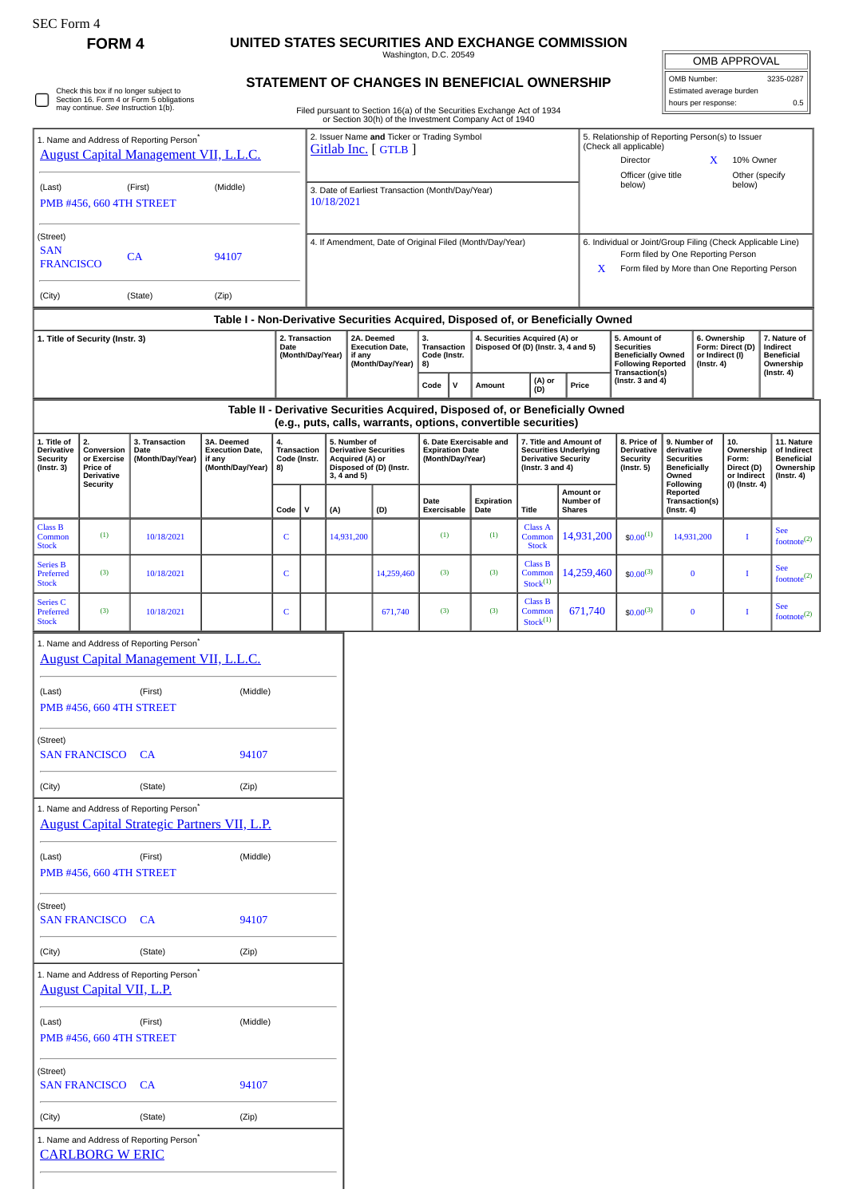## **FORM 4 UNITED STATES SECURITIES AND EXCHANGE COMMISSION**

Washington, D.C. 20549

| <b>OMB APPROVAL</b>      |           |  |  |  |  |
|--------------------------|-----------|--|--|--|--|
| OMB Number:              | 3235-0287 |  |  |  |  |
| Estimated average burden |           |  |  |  |  |

hours per response: 0.5

Check this box if no longer subject to Section 16. Form 4 or Form 5 obligations may continue. *See* Instruction 1(b).

## **STATEMENT OF CHANGES IN BENEFICIAL OWNERSHIP** Filed pursuant to Section 16(a) of the Securities Exchange Act of 1934

|                                                                                                                                             |                          |                                                                                                      |                                                                    |                                         |                                                                   |                                                                                                           |                                                                                                                                                 |                                                                                                                 |        | or Section 30(h) of the Investment Company Act of 1940 |                                                                                                               |                                                                                                                                                        |                                                                                                               |                                                                  |                                                                                 |  |                                                                          |                                                                           |  |  |
|---------------------------------------------------------------------------------------------------------------------------------------------|--------------------------|------------------------------------------------------------------------------------------------------|--------------------------------------------------------------------|-----------------------------------------|-------------------------------------------------------------------|-----------------------------------------------------------------------------------------------------------|-------------------------------------------------------------------------------------------------------------------------------------------------|-----------------------------------------------------------------------------------------------------------------|--------|--------------------------------------------------------|---------------------------------------------------------------------------------------------------------------|--------------------------------------------------------------------------------------------------------------------------------------------------------|---------------------------------------------------------------------------------------------------------------|------------------------------------------------------------------|---------------------------------------------------------------------------------|--|--------------------------------------------------------------------------|---------------------------------------------------------------------------|--|--|
| 1. Name and Address of Reporting Person <sup>7</sup><br><b>August Capital Management VII, L.L.C.</b>                                        |                          |                                                                                                      |                                                                    |                                         | 2. Issuer Name and Ticker or Trading Symbol<br>Gitlab Inc. [GTLB] |                                                                                                           |                                                                                                                                                 |                                                                                                                 |        |                                                        |                                                                                                               | 5. Relationship of Reporting Person(s) to Issuer<br>(Check all applicable)<br>Director<br>X<br>10% Owner                                               |                                                                                                               |                                                                  |                                                                                 |  |                                                                          |                                                                           |  |  |
| (First)<br>(Middle)<br>(Last)<br>PMB #456, 660 4TH STREET                                                                                   |                          |                                                                                                      |                                                                    |                                         | 3. Date of Earliest Transaction (Month/Day/Year)<br>10/18/2021    |                                                                                                           |                                                                                                                                                 |                                                                                                                 |        |                                                        |                                                                                                               | Officer (give title<br>Other (specify<br>below)<br>below)                                                                                              |                                                                                                               |                                                                  |                                                                                 |  |                                                                          |                                                                           |  |  |
| (Street)<br><b>SAN</b><br>CA<br>94107<br><b>FRANCISCO</b>                                                                                   |                          |                                                                                                      |                                                                    |                                         | 4. If Amendment, Date of Original Filed (Month/Day/Year)          |                                                                                                           |                                                                                                                                                 |                                                                                                                 |        |                                                        |                                                                                                               | 6. Individual or Joint/Group Filing (Check Applicable Line)<br>Form filed by One Reporting Person<br>Form filed by More than One Reporting Person<br>X |                                                                                                               |                                                                  |                                                                                 |  |                                                                          |                                                                           |  |  |
| (Zip)<br>(City)<br>(State)                                                                                                                  |                          |                                                                                                      |                                                                    |                                         |                                                                   |                                                                                                           |                                                                                                                                                 |                                                                                                                 |        |                                                        |                                                                                                               |                                                                                                                                                        |                                                                                                               |                                                                  |                                                                                 |  |                                                                          |                                                                           |  |  |
| Table I - Non-Derivative Securities Acquired, Disposed of, or Beneficially Owned                                                            |                          |                                                                                                      |                                                                    |                                         |                                                                   |                                                                                                           |                                                                                                                                                 |                                                                                                                 |        |                                                        |                                                                                                               |                                                                                                                                                        |                                                                                                               |                                                                  |                                                                                 |  |                                                                          |                                                                           |  |  |
| 1. Title of Security (Instr. 3)                                                                                                             |                          |                                                                                                      | Date                                                               | 2. Transaction<br>(Month/Day/Year)      |                                                                   | 2A. Deemed<br><b>Execution Date,</b><br>if any<br>(Month/Day/Year)                                        |                                                                                                                                                 | 3.<br>4. Securities Acquired (A) or<br>Transaction<br>Disposed Of (D) (Instr. 3, 4 and 5)<br>Code (Instr.<br>8) |        |                                                        |                                                                                                               |                                                                                                                                                        | 5. Amount of<br><b>Securities</b><br><b>Beneficially Owned</b><br><b>Following Reported</b><br>Transaction(s) |                                                                  | 6. Ownership<br>Form: Direct (D)<br>or Indirect (I)<br>$($ Instr. 4 $)$         |  | 7. Nature of<br>Indirect<br><b>Beneficial</b><br>Ownership<br>(Instr. 4) |                                                                           |  |  |
|                                                                                                                                             |                          |                                                                                                      |                                                                    |                                         |                                                                   |                                                                                                           | Code                                                                                                                                            | $\mathsf{v}$                                                                                                    | Amount | (A) or<br>(D)                                          |                                                                                                               | Price                                                                                                                                                  | (Instr. $3$ and $4$ )                                                                                         |                                                                  |                                                                                 |  |                                                                          |                                                                           |  |  |
|                                                                                                                                             |                          |                                                                                                      |                                                                    |                                         |                                                                   |                                                                                                           | Table II - Derivative Securities Acquired, Disposed of, or Beneficially Owned<br>(e.g., puts, calls, warrants, options, convertible securities) |                                                                                                                 |        |                                                        |                                                                                                               |                                                                                                                                                        |                                                                                                               |                                                                  |                                                                                 |  |                                                                          |                                                                           |  |  |
| 1. Title of<br>2.<br><b>Derivative</b><br>Conversion<br><b>Security</b><br>or Exercise<br>$($ Instr. 3 $)$<br>Price of<br><b>Derivative</b> |                          | 3. Transaction<br>Date<br>(Month/Day/Year)                                                           | 3A. Deemed<br><b>Execution Date,</b><br>if any<br>(Month/Day/Year) | 4.<br>Transaction<br>Code (Instr.<br>8) |                                                                   | 5. Number of<br><b>Derivative Securities</b><br>Acquired (A) or<br>Disposed of (D) (Instr.<br>3, 4 and 5) |                                                                                                                                                 | 6. Date Exercisable and<br><b>Expiration Date</b><br>(Month/Day/Year)                                           |        |                                                        | 7. Title and Amount of<br><b>Securities Underlying</b><br><b>Derivative Security</b><br>(Instr. $3$ and $4$ ) |                                                                                                                                                        |                                                                                                               | 8. Price of<br>Derivative<br><b>Security</b><br>$($ Instr. 5 $)$ | 9. Number of<br>derivative<br><b>Securities</b><br><b>Beneficially</b><br>Owned |  | 10.<br>Ownership<br>Form:<br>Direct (D)<br>or Indirect                   | 11. Nature<br>of Indirect<br><b>Beneficial</b><br>Ownership<br>(Instr. 4) |  |  |
|                                                                                                                                             | <b>Security</b>          |                                                                                                      |                                                                    | Code                                    | $\mathbf v$                                                       | (A)                                                                                                       | (D)                                                                                                                                             | Date<br>Exercisable                                                                                             |        | Expiration<br>Date                                     | Title                                                                                                         | Amount or<br>Number of<br><b>Shares</b>                                                                                                                |                                                                                                               |                                                                  | Following<br>Reported<br>Transaction(s)<br>$($ Instr. 4 $)$                     |  | (I) (Instr. 4)                                                           |                                                                           |  |  |
| <b>Class B</b><br>Common<br><b>Stock</b>                                                                                                    | (1)                      | 10/18/2021                                                                                           |                                                                    | C                                       |                                                                   | 14,931,200                                                                                                |                                                                                                                                                 | (1)                                                                                                             |        | (1)                                                    | <b>Class A</b><br>Common<br><b>Stock</b>                                                                      | 14,931,200                                                                                                                                             |                                                                                                               | $$0.00^{(1)}$                                                    | 14,931,200                                                                      |  | I                                                                        | <b>See</b><br>footnote $^{(2)}$                                           |  |  |
| <b>Series B</b><br>Preferred<br><b>Stock</b>                                                                                                | (3)                      | 10/18/2021                                                                                           |                                                                    | C                                       |                                                                   |                                                                                                           | 14,259,460                                                                                                                                      | (3)                                                                                                             |        | (3)                                                    | <b>Class B</b><br>Common<br>Stock <sup>(1)</sup>                                                              | 14,259,460                                                                                                                                             |                                                                                                               | $$0.00^{(3)}$                                                    | $\bf{0}$                                                                        |  | I                                                                        | <b>See</b><br>footnote <sup>(2)</sup>                                     |  |  |
| Series <sub>C</sub><br>Preferred<br><b>Stock</b>                                                                                            | (3)                      | 10/18/2021                                                                                           |                                                                    | C                                       |                                                                   |                                                                                                           | 671,740                                                                                                                                         | (3)                                                                                                             |        | (3)                                                    | <b>Class B</b><br>Common<br>Stock <sup>(1)</sup>                                                              | 671,740                                                                                                                                                |                                                                                                               | $$0.00^{(3)}$                                                    | $\bf{0}$                                                                        |  | Т                                                                        | See<br>footnote <sup>(2)</sup>                                            |  |  |
|                                                                                                                                             |                          | 1. Name and Address of Reporting Person <sup>*</sup><br><b>August Capital Management VII, L.L.C.</b> |                                                                    |                                         |                                                                   |                                                                                                           |                                                                                                                                                 |                                                                                                                 |        |                                                        |                                                                                                               |                                                                                                                                                        |                                                                                                               |                                                                  |                                                                                 |  |                                                                          |                                                                           |  |  |
| (Last)                                                                                                                                      |                          | (First)                                                                                              | (Middle)                                                           |                                         |                                                                   |                                                                                                           |                                                                                                                                                 |                                                                                                                 |        |                                                        |                                                                                                               |                                                                                                                                                        |                                                                                                               |                                                                  |                                                                                 |  |                                                                          |                                                                           |  |  |
|                                                                                                                                             | PMB #456, 660 4TH STREET |                                                                                                      |                                                                    |                                         |                                                                   |                                                                                                           |                                                                                                                                                 |                                                                                                                 |        |                                                        |                                                                                                               |                                                                                                                                                        |                                                                                                               |                                                                  |                                                                                 |  |                                                                          |                                                                           |  |  |
| (Street)                                                                                                                                    | <b>SAN FRANCISCO</b>     | <b>CA</b>                                                                                            | 94107                                                              |                                         |                                                                   |                                                                                                           |                                                                                                                                                 |                                                                                                                 |        |                                                        |                                                                                                               |                                                                                                                                                        |                                                                                                               |                                                                  |                                                                                 |  |                                                                          |                                                                           |  |  |
| (Zip)<br>(City)<br>(State)                                                                                                                  |                          |                                                                                                      |                                                                    |                                         |                                                                   |                                                                                                           |                                                                                                                                                 |                                                                                                                 |        |                                                        |                                                                                                               |                                                                                                                                                        |                                                                                                               |                                                                  |                                                                                 |  |                                                                          |                                                                           |  |  |
| 1. Name and Address of Reporting Person <sup>*</sup><br><b>August Capital Strategic Partners VII, L.P.</b>                                  |                          |                                                                                                      |                                                                    |                                         |                                                                   |                                                                                                           |                                                                                                                                                 |                                                                                                                 |        |                                                        |                                                                                                               |                                                                                                                                                        |                                                                                                               |                                                                  |                                                                                 |  |                                                                          |                                                                           |  |  |
| (Last)                                                                                                                                      | PMB #456, 660 4TH STREET | (First)                                                                                              | (Middle)                                                           |                                         |                                                                   |                                                                                                           |                                                                                                                                                 |                                                                                                                 |        |                                                        |                                                                                                               |                                                                                                                                                        |                                                                                                               |                                                                  |                                                                                 |  |                                                                          |                                                                           |  |  |
| (Street)                                                                                                                                    | <b>SAN FRANCISCO CA</b>  |                                                                                                      | 94107                                                              |                                         |                                                                   |                                                                                                           |                                                                                                                                                 |                                                                                                                 |        |                                                        |                                                                                                               |                                                                                                                                                        |                                                                                                               |                                                                  |                                                                                 |  |                                                                          |                                                                           |  |  |
| (City)                                                                                                                                      |                          | (State)                                                                                              | (Zip)                                                              |                                         |                                                                   |                                                                                                           |                                                                                                                                                 |                                                                                                                 |        |                                                        |                                                                                                               |                                                                                                                                                        |                                                                                                               |                                                                  |                                                                                 |  |                                                                          |                                                                           |  |  |
| 1. Name and Address of Reporting Person*<br><b>August Capital VII, L.P.</b>                                                                 |                          |                                                                                                      |                                                                    |                                         |                                                                   |                                                                                                           |                                                                                                                                                 |                                                                                                                 |        |                                                        |                                                                                                               |                                                                                                                                                        |                                                                                                               |                                                                  |                                                                                 |  |                                                                          |                                                                           |  |  |
| (Last)                                                                                                                                      | PMB #456, 660 4TH STREET | (First)                                                                                              | (Middle)                                                           |                                         |                                                                   |                                                                                                           |                                                                                                                                                 |                                                                                                                 |        |                                                        |                                                                                                               |                                                                                                                                                        |                                                                                                               |                                                                  |                                                                                 |  |                                                                          |                                                                           |  |  |
| (Street)                                                                                                                                    | <b>SAN FRANCISCO</b>     | CA                                                                                                   | 94107                                                              |                                         |                                                                   |                                                                                                           |                                                                                                                                                 |                                                                                                                 |        |                                                        |                                                                                                               |                                                                                                                                                        |                                                                                                               |                                                                  |                                                                                 |  |                                                                          |                                                                           |  |  |
| (City)                                                                                                                                      |                          | (State)                                                                                              | (Zip)                                                              |                                         |                                                                   |                                                                                                           |                                                                                                                                                 |                                                                                                                 |        |                                                        |                                                                                                               |                                                                                                                                                        |                                                                                                               |                                                                  |                                                                                 |  |                                                                          |                                                                           |  |  |
|                                                                                                                                             | <b>CARLBORG W ERIC</b>   | 1. Name and Address of Reporting Person*                                                             |                                                                    |                                         |                                                                   |                                                                                                           |                                                                                                                                                 |                                                                                                                 |        |                                                        |                                                                                                               |                                                                                                                                                        |                                                                                                               |                                                                  |                                                                                 |  |                                                                          |                                                                           |  |  |
|                                                                                                                                             |                          |                                                                                                      |                                                                    |                                         |                                                                   |                                                                                                           |                                                                                                                                                 |                                                                                                                 |        |                                                        |                                                                                                               |                                                                                                                                                        |                                                                                                               |                                                                  |                                                                                 |  |                                                                          |                                                                           |  |  |